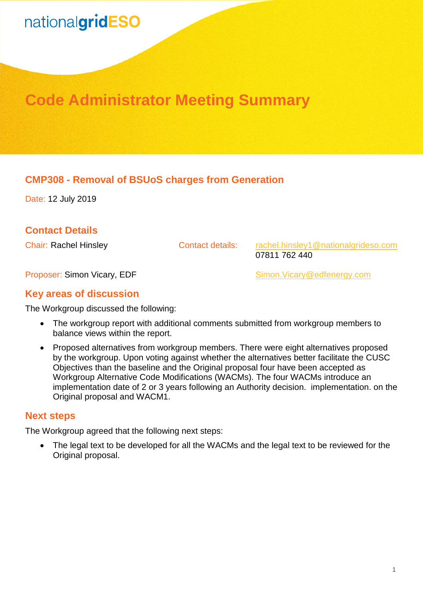## nationalgridESO

### **Code Administrator Meeting Summary**

#### **CMP308 - Removal of BSUoS charges from Generation**

Date: 12 July 2019

#### **Contact Details**

Chair: Rachel Hinsley **Contact details:** rachel.hinsley1@nationalgrideso.com 07811 762 440

Proposer: Simon Vicary, EDF Simon.Vicary@edfenergy.com

#### **Key areas of discussion**

The Workgroup discussed the following:

- The workgroup report with additional comments submitted from workgroup members to balance views within the report.
- Proposed alternatives from workgroup members. There were eight alternatives proposed by the workgroup. Upon voting against whether the alternatives better facilitate the CUSC Objectives than the baseline and the Original proposal four have been accepted as Workgroup Alternative Code Modifications (WACMs). The four WACMs introduce an implementation date of 2 or 3 years following an Authority decision. implementation. on the Original proposal and WACM1.

#### **Next steps**

The Workgroup agreed that the following next steps:

• The legal text to be developed for all the WACMs and the legal text to be reviewed for the Original proposal.